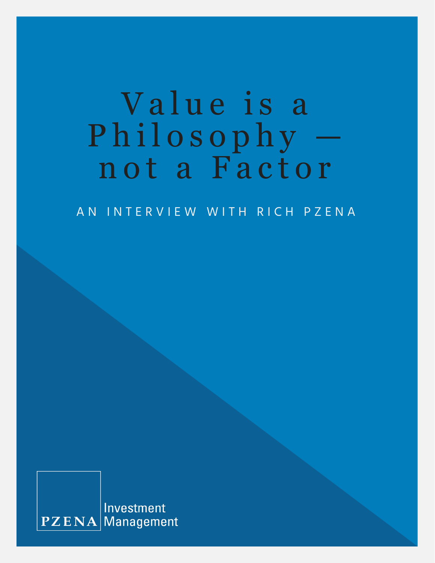# Value is a Philosophy n ot a Factor

AN INTERVIEW WITH RICH PZENA

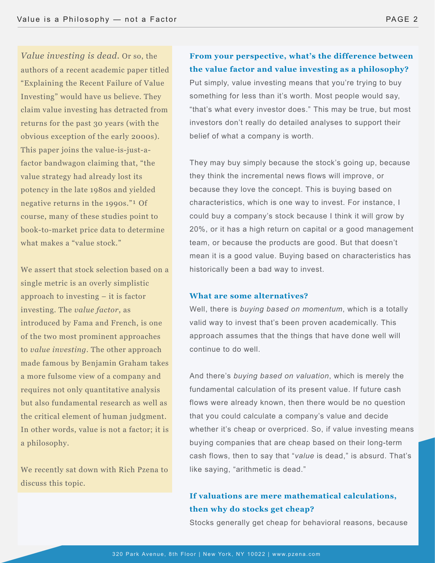*Value investing is dead.* Or so, the authors of a recent academic paper titled "Explaining the Recent Failure of Value Investing" would have us believe. They claim value investing has detracted from returns for the past 30 years (with the obvious exception of the early 2000s). This paper joins the value-is-just-afactor bandwagon claiming that, "the value strategy had already lost its potency in the late 1980s and yielded negative returns in the 1990s."<sup>1</sup> Of course, many of these studies point to book-to-market price data to determine what makes a "value stock."

We assert that stock selection based on a single metric is an overly simplistic approach to investing – it is factor investing. The *value factor*, as introduced by Fama and French, is one of the two most prominent approaches to *value investing*. The other approach made famous by Benjamin Graham takes a more fulsome view of a company and requires not only quantitative analysis but also fundamental research as well as the critical element of human judgment. In other words, value is not a factor; it is a philosophy.

We recently sat down with Rich Pzena to discuss this topic.

**From your perspective, what's the difference between the value factor and value investing as a philosophy?** Put simply, value investing means that you're trying to buy something for less than it's worth. Most people would say, "that's what every investor does." This may be true, but most investors don't really do detailed analyses to support their belief of what a company is worth.

They may buy simply because the stock's going up, because they think the incremental news flows will improve, or because they love the concept. This is buying based on characteristics, which is one way to invest. For instance, I could buy a company's stock because I think it will grow by 20%, or it has a high return on capital or a good management team, or because the products are good. But that doesn't mean it is a good value. Buying based on characteristics has historically been a bad way to invest.

#### **What are some alternatives?**

Well, there is *buying based on momentum*, which is a totally valid way to invest that's been proven academically. This approach assumes that the things that have done well will continue to do well.

And there's *buying based on valuation*, which is merely the fundamental calculation of its present value. If future cash flows were already known, then there would be no question that you could calculate a company's value and decide whether it's cheap or overpriced. So, if value investing means buying companies that are cheap based on their long-term cash flows, then to say that "*value* is dead," is absurd. That's like saying, "arithmetic is dead."

## **If valuations are mere mathematical calculations, then why do stocks get cheap?**

Stocks generally get cheap for behavioral reasons, because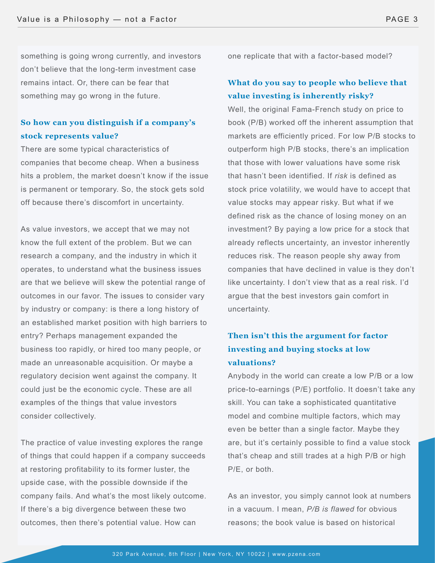something is going wrong currently, and investors don't believe that the long-term investment case remains intact. Or, there can be fear that something may go wrong in the future.

## **So how can you distinguish if a company's stock represents value?**

There are some typical characteristics of companies that become cheap. When a business hits a problem, the market doesn't know if the issue is permanent or temporary. So, the stock gets sold off because there's discomfort in uncertainty.

As value investors, we accept that we may not know the full extent of the problem. But we can research a company, and the industry in which it operates, to understand what the business issues are that we believe will skew the potential range of outcomes in our favor. The issues to consider vary by industry or company: is there a long history of an established market position with high barriers to entry? Perhaps management expanded the business too rapidly, or hired too many people, or made an unreasonable acquisition. Or maybe a regulatory decision went against the company. It could just be the economic cycle. These are all examples of the things that value investors consider collectively.

The practice of value investing explores the range of things that could happen if a company succeeds at restoring profitability to its former luster, the upside case, with the possible downside if the company fails. And what's the most likely outcome. If there's a big divergence between these two outcomes, then there's potential value. How can

one replicate that with a factor-based model?

## **What do you say to people who believe that value investing is inherently risky?**

Well, the original Fama-French study on price to book (P/B) worked off the inherent assumption that markets are efficiently priced. For low P/B stocks to outperform high P/B stocks, there's an implication that those with lower valuations have some risk that hasn't been identified. If *risk* is defined as stock price volatility, we would have to accept that value stocks may appear risky. But what if we defined risk as the chance of losing money on an investment? By paying a low price for a stock that already reflects uncertainty, an investor inherently reduces risk. The reason people shy away from companies that have declined in value is they don't like uncertainty. I don't view that as a real risk. I'd argue that the best investors gain comfort in uncertainty.

# **Then isn't this the argument for factor investing and buying stocks at low valuations?**

Anybody in the world can create a low P/B or a low price-to-earnings (P/E) portfolio. It doesn't take any skill. You can take a sophisticated quantitative model and combine multiple factors, which may even be better than a single factor. Maybe they are, but it's certainly possible to find a value stock that's cheap and still trades at a high P/B or high P/E, or both.

As an investor, you simply cannot look at numbers in a vacuum. I mean, *P/B is flawed* for obvious reasons; the book value is based on historical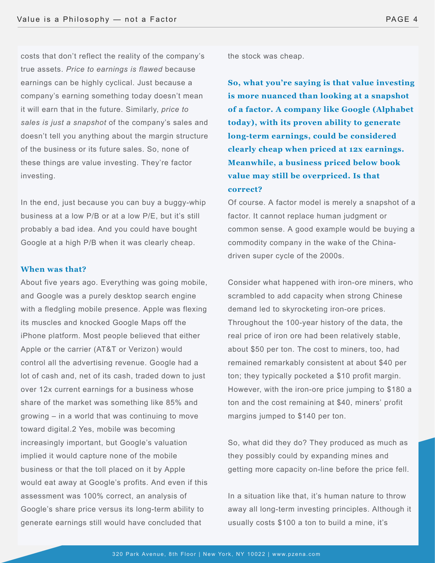costs that don't reflect the reality of the company's true assets. *Price to earnings is flawed* because earnings can be highly cyclical. Just because a company's earning something today doesn't mean it will earn that in the future. Similarly, *price to sales is just a snapshot* of the company's sales and doesn't tell you anything about the margin structure of the business or its future sales. So, none of these things are value investing. They're factor investing.

In the end, just because you can buy a buggy-whip business at a low P/B or at a low P/E, but it's still probably a bad idea. And you could have bought Google at a high P/B when it was clearly cheap.

## **When was that?**

About five years ago. Everything was going mobile, and Google was a purely desktop search engine with a fledgling mobile presence. Apple was flexing its muscles and knocked Google Maps off the iPhone platform. Most people believed that either Apple or the carrier (AT&T or Verizon) would control all the advertising revenue. Google had a lot of cash and, net of its cash, traded down to just over 12x current earnings for a business whose share of the market was something like 85% and growing – in a world that was continuing to move toward digital.2 Yes, mobile was becoming increasingly important, but Google's valuation implied it would capture none of the mobile business or that the toll placed on it by Apple would eat away at Google's profits. And even if this assessment was 100% correct, an analysis of Google's share price versus its long-term ability to generate earnings still would have concluded that

the stock was cheap.

**So, what you're saying is that value investing is more nuanced than looking at a snapshot of a factor. A company like Google (Alphabet today), with its proven ability to generate long-term earnings, could be considered clearly cheap when priced at 12x earnings. Meanwhile, a business priced below book value may still be overpriced. Is that correct?**

Of course. A factor model is merely a snapshot of a factor. It cannot replace human judgment or common sense. A good example would be buying a commodity company in the wake of the Chinadriven super cycle of the 2000s.

Consider what happened with iron-ore miners, who scrambled to add capacity when strong Chinese demand led to skyrocketing iron-ore prices. Throughout the 100-year history of the data, the real price of iron ore had been relatively stable, about \$50 per ton. The cost to miners, too, had remained remarkably consistent at about \$40 per ton; they typically pocketed a \$10 profit margin. However, with the iron-ore price jumping to \$180 a ton and the cost remaining at \$40, miners' profit margins jumped to \$140 per ton.

So, what did they do? They produced as much as they possibly could by expanding mines and getting more capacity on-line before the price fell.

In a situation like that, it's human nature to throw away all long-term investing principles. Although it usually costs \$100 a ton to build a mine, it's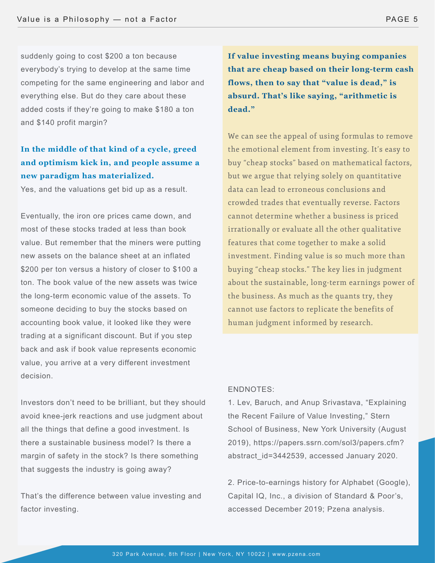suddenly going to cost \$200 a ton because everybody's trying to develop at the same time competing for the same engineering and labor and everything else. But do they care about these added costs if they're going to make \$180 a ton and \$140 profit margin?

# **In the middle of that kind of a cycle, greed and optimism kick in, and people assume a new paradigm has materialized.**

Yes, and the valuations get bid up as a result.

Eventually, the iron ore prices came down, and most of these stocks traded at less than book value. But remember that the miners were putting new assets on the balance sheet at an inflated \$200 per ton versus a history of closer to \$100 a ton. The book value of the new assets was twice the long-term economic value of the assets. To someone deciding to buy the stocks based on accounting book value, it looked like they were trading at a significant discount. But if you step back and ask if book value represents economic value, you arrive at a very different investment decision.

Investors don't need to be brilliant, but they should avoid knee-jerk reactions and use judgment about all the things that define a good investment. Is there a sustainable business model? Is there a margin of safety in the stock? Is there something that suggests the industry is going away?

That's the difference between value investing and factor investing.

**If value investing means buying companies that are cheap based on their long-term cash flows, then to say that "value is dead," is absurd. That's like saying, "arithmetic is dead."**

We can see the appeal of using formulas to remove the emotional element from investing. It's easy to buy "cheap stocks" based on mathematical factors, but we argue that relying solely on quantitative data can lead to erroneous conclusions and crowded trades that eventually reverse. Factors cannot determine whether a business is priced irrationally or evaluate all the other qualitative features that come together to make a solid investment. Finding value is so much more than buying "cheap stocks." The key lies in judgment about the sustainable, long-term earnings power of the business. As much as the quants try, they cannot use factors to replicate the benefits of human judgment informed by research.

### ENDNOTES:

1. Lev, Baruch, and Anup Srivastava, "Explaining the Recent Failure of Value Investing," Stern School of Business, New York University (August 2019), https://papers.ssrn.com/sol3/papers.cfm? abstract\_id=3442539, accessed January 2020.

2. Price-to-earnings history for Alphabet (Google), Capital IQ, Inc., a division of Standard & Poor's, accessed December 2019; Pzena analysis.